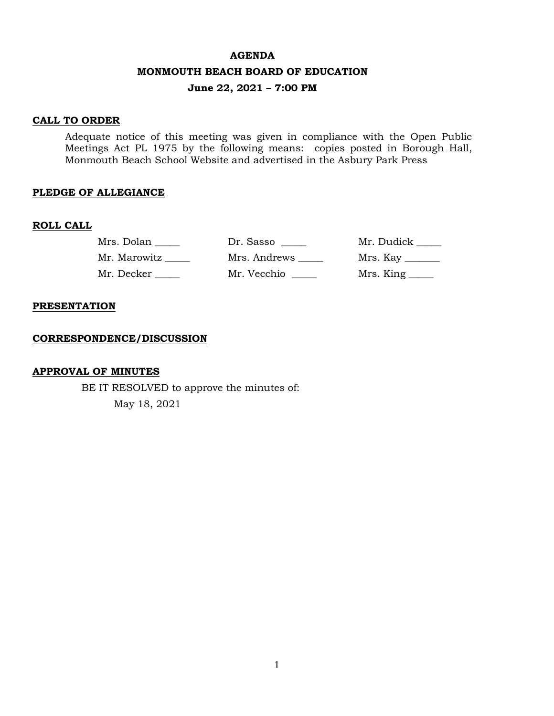#### **AGENDA**

#### **MONMOUTH BEACH BOARD OF EDUCATION**

### **June 22, 2021 – 7:00 PM**

#### **CALL TO ORDER**

Adequate notice of this meeting was given in compliance with the Open Public Meetings Act PL 1975 by the following means: copies posted in Borough Hall, Monmouth Beach School Website and advertised in the Asbury Park Press

#### **PLEDGE OF ALLEGIANCE**

#### **ROLL CALL**

| Mrs. Dolan   | Dr. Sasso    | Mr. Dudick       |
|--------------|--------------|------------------|
| Mr. Marowitz | Mrs. Andrews | Mrs. Kay _______ |
| Mr. Decker   | Mr. Vecchio  |                  |

#### **PRESENTATION**

#### **CORRESPONDENCE/DISCUSSION**

#### **APPROVAL OF MINUTES**

BE IT RESOLVED to approve the minutes of: May 18, 2021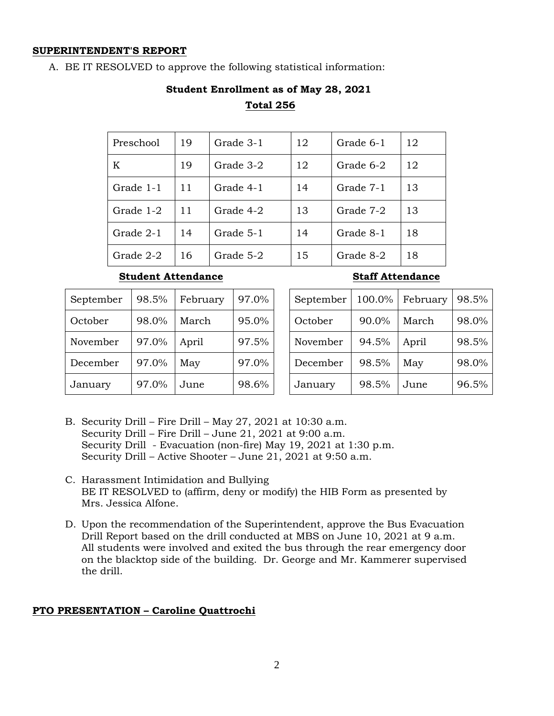#### **SUPERINTENDENT'S REPORT**

A. BE IT RESOLVED to approve the following statistical information:

# **Student Enrollment as of May 28, 2021 Total 256**

| Preschool | 19 | Grade 3-1 | 12 | Grade 6-1 | 12 |
|-----------|----|-----------|----|-----------|----|
| K         | 19 | Grade 3-2 | 12 | Grade 6-2 | 12 |
| Grade 1-1 | 11 | Grade 4-1 | 14 | Grade 7-1 | 13 |
| Grade 1-2 | 11 | Grade 4-2 | 13 | Grade 7-2 | 13 |
| Grade 2-1 | 14 | Grade 5-1 | 14 | Grade 8-1 | 18 |
| Grade 2-2 | 16 | Grade 5-2 | 15 | Grade 8-2 | 18 |

#### **Student Attendance Staff Attendance**

| September | 98.5% | February | 97.0% | Septemb |
|-----------|-------|----------|-------|---------|
| October   | 98.0% | March    | 95.0% | October |
| November  | 97.0% | April    | 97.5% | Novembe |
| December  | 97.0% | May      | 97.0% | Decembe |
| January   | 97.0% | June     | 98.6% | January |

| September | 100.0% | February | 98.5% |
|-----------|--------|----------|-------|
| October   | 90.0%  | March    | 98.0% |
| November  | 94.5%  | April    | 98.5% |
| December  | 98.5%  | May      | 98.0% |
| January   | 98.5%  | June     | 96.5% |

- B. Security Drill Fire Drill May 27, 2021 at 10:30 a.m. Security Drill – Fire Drill – June 21, 2021 at 9:00 a.m. Security Drill - Evacuation (non-fire) May 19, 2021 at 1:30 p.m. Security Drill – Active Shooter – June 21, 2021 at 9:50 a.m.
- C. Harassment Intimidation and Bullying BE IT RESOLVED to (affirm, deny or modify) the HIB Form as presented by Mrs. Jessica Alfone.
- D. Upon the recommendation of the Superintendent, approve the Bus Evacuation Drill Report based on the drill conducted at MBS on June 10, 2021 at 9 a.m. All students were involved and exited the bus through the rear emergency door on the blacktop side of the building. Dr. George and Mr. Kammerer supervised the drill.

#### **PTO PRESENTATION – Caroline Quattrochi**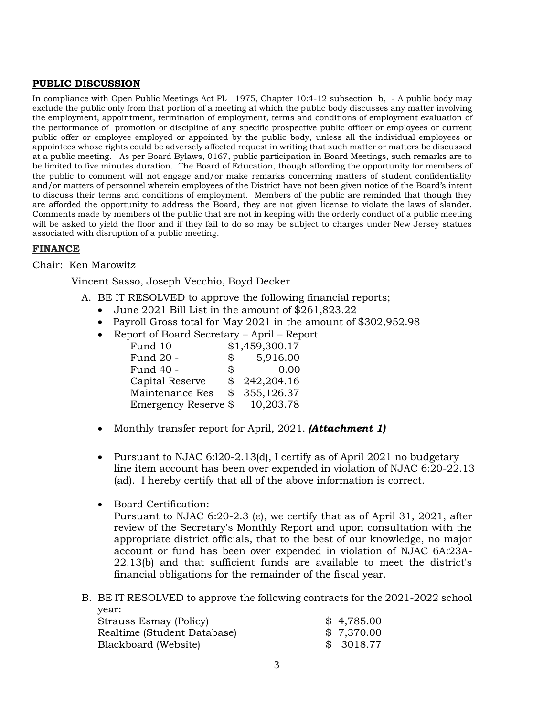#### **PUBLIC DISCUSSION**

In compliance with Open Public Meetings Act PL 1975, Chapter 10:4-12 subsection b, - A public body may exclude the public only from that portion of a meeting at which the public body discusses any matter involving the employment, appointment, termination of employment, terms and conditions of employment evaluation of the performance of promotion or discipline of any specific prospective public officer or employees or current public offer or employee employed or appointed by the public body, unless all the individual employees or appointees whose rights could be adversely affected request in writing that such matter or matters be discussed at a public meeting. As per Board Bylaws, 0167, public participation in Board Meetings, such remarks are to be limited to five minutes duration. The Board of Education, though affording the opportunity for members of the public to comment will not engage and/or make remarks concerning matters of student confidentiality and/or matters of personnel wherein employees of the District have not been given notice of the Board's intent to discuss their terms and conditions of employment. Members of the public are reminded that though they are afforded the opportunity to address the Board, they are not given license to violate the laws of slander. Comments made by members of the public that are not in keeping with the orderly conduct of a public meeting will be asked to yield the floor and if they fail to do so may be subject to charges under New Jersey statues associated with disruption of a public meeting.

#### **FINANCE**

#### Chair: Ken Marowitz

Vincent Sasso, Joseph Vecchio, Boyd Decker

- A. BE IT RESOLVED to approve the following financial reports;
	- June 2021 Bill List in the amount of \$261,823.22
	- Payroll Gross total for May 2021 in the amount of \$302,952.98
	- Report of Board Secretary April Report

| Fund 10 -            |               | \$1,459,300.17 |
|----------------------|---------------|----------------|
| Fund 20 -            | $\mathcal{L}$ | 5,916.00       |
| Fund 40 -            | $^{\circ}$    | 0.00           |
| Capital Reserve      | \$            | 242,204.16     |
| Maintenance Res      | \$            | 355,126.37     |
| Emergency Reserve \$ |               | 10,203.78      |

- Monthly transfer report for April, 2021. *(Attachment 1)*
- Pursuant to NJAC 6:l20-2.13(d), I certify as of April 2021 no budgetary line item account has been over expended in violation of NJAC 6:20-22.13 (ad). I hereby certify that all of the above information is correct.
- Board Certification:

Pursuant to NJAC 6:20-2.3 (e), we certify that as of April 31, 2021, after review of the Secretary's Monthly Report and upon consultation with the appropriate district officials, that to the best of our knowledge, no major account or fund has been over expended in violation of NJAC 6A:23A-22.13(b) and that sufficient funds are available to meet the district's financial obligations for the remainder of the fiscal year.

B. BE IT RESOLVED to approve the following contracts for the 2021-2022 school year:

| Strauss Esmay (Policy)      | \$4,785.00 |
|-----------------------------|------------|
| Realtime (Student Database) | \$7,370.00 |
| Blackboard (Website)        | \$3018.77  |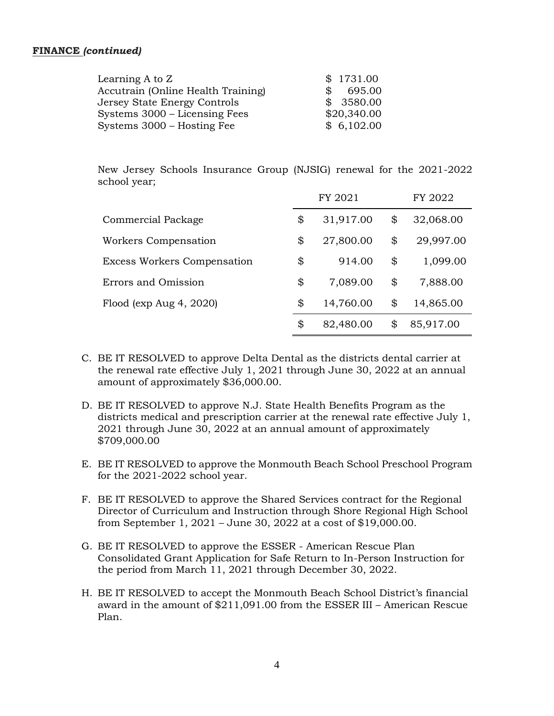#### **FINANCE** *(continued)*

| Learning A to $Z$                  | \$1731.00                |
|------------------------------------|--------------------------|
| Accutrain (Online Health Training) | 695.00<br>$\mathbb{S}^-$ |
| Jersey State Energy Controls       | \$3580.00                |
| Systems 3000 – Licensing Fees      | \$20,340.00              |
| Systems 3000 – Hosting Fee         | \$6,102.00               |

New Jersey Schools Insurance Group (NJSIG) renewal for the 2021-2022 school year;

|                                    | FY 2021 |           |    | FY 2022   |  |  |
|------------------------------------|---------|-----------|----|-----------|--|--|
| Commercial Package                 | \$      | 31,917.00 | \$ | 32,068.00 |  |  |
| Workers Compensation               | \$      | 27,800.00 | \$ | 29,997.00 |  |  |
| <b>Excess Workers Compensation</b> | \$      | 914.00    | \$ | 1,099.00  |  |  |
| Errors and Omission                | \$      | 7,089.00  | \$ | 7,888.00  |  |  |
| Flood ( $exp Aug 4, 2020$ )        | \$      | 14,760.00 | \$ | 14,865.00 |  |  |
|                                    | \$      | 82,480.00 | \$ | 85,917.00 |  |  |

- C. BE IT RESOLVED to approve Delta Dental as the districts dental carrier at the renewal rate effective July 1, 2021 through June 30, 2022 at an annual amount of approximately \$36,000.00.
- D. BE IT RESOLVED to approve N.J. State Health Benefits Program as the districts medical and prescription carrier at the renewal rate effective July 1, 2021 through June 30, 2022 at an annual amount of approximately \$709,000.00
- E. BE IT RESOLVED to approve the Monmouth Beach School Preschool Program for the 2021-2022 school year.
- F. BE IT RESOLVED to approve the Shared Services contract for the Regional Director of Curriculum and Instruction through Shore Regional High School from September 1, 2021 – June 30, 2022 at a cost of \$19,000.00.
- G. BE IT RESOLVED to approve the ESSER American Rescue Plan Consolidated Grant Application for Safe Return to In-Person Instruction for the period from March 11, 2021 through December 30, 2022.
- H. BE IT RESOLVED to accept the Monmouth Beach School District's financial award in the amount of \$211,091.00 from the ESSER III – American Rescue Plan.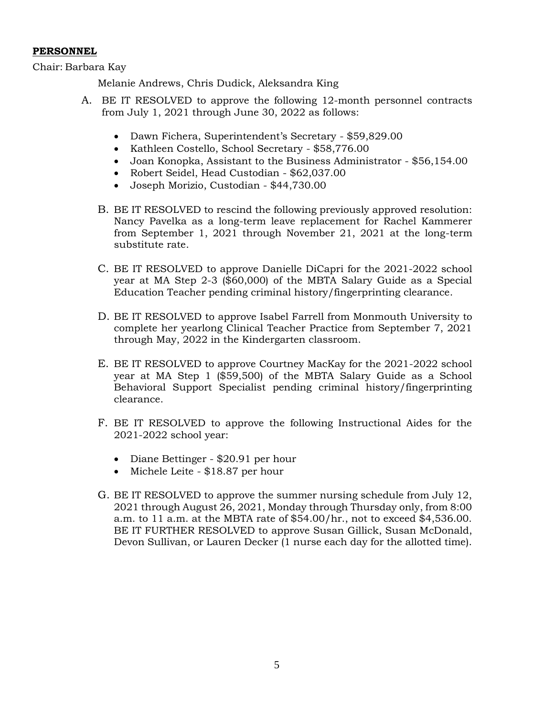#### **PERSONNEL**

Chair: Barbara Kay

Melanie Andrews, Chris Dudick, Aleksandra King

- A. BE IT RESOLVED to approve the following 12-month personnel contracts from July 1, 2021 through June 30, 2022 as follows:
	- Dawn Fichera, Superintendent's Secretary \$59,829.00
	- Kathleen Costello, School Secretary \$58,776.00
	- Joan Konopka, Assistant to the Business Administrator \$56,154.00
	- Robert Seidel, Head Custodian \$62,037.00
	- Joseph Morizio, Custodian \$44,730.00
	- B. BE IT RESOLVED to rescind the following previously approved resolution: Nancy Pavelka as a long-term leave replacement for Rachel Kammerer from September 1, 2021 through November 21, 2021 at the long-term substitute rate.
	- C. BE IT RESOLVED to approve Danielle DiCapri for the 2021-2022 school year at MA Step 2-3 (\$60,000) of the MBTA Salary Guide as a Special Education Teacher pending criminal history/fingerprinting clearance.
	- D. BE IT RESOLVED to approve Isabel Farrell from Monmouth University to complete her yearlong Clinical Teacher Practice from September 7, 2021 through May, 2022 in the Kindergarten classroom.
	- E. BE IT RESOLVED to approve Courtney MacKay for the 2021-2022 school year at MA Step 1 (\$59,500) of the MBTA Salary Guide as a School Behavioral Support Specialist pending criminal history/fingerprinting clearance.
	- F. BE IT RESOLVED to approve the following Instructional Aides for the 2021-2022 school year:
		- Diane Bettinger \$20.91 per hour
		- Michele Leite \$18.87 per hour
	- G. BE IT RESOLVED to approve the summer nursing schedule from July 12, 2021 through August 26, 2021, Monday through Thursday only, from 8:00 a.m. to 11 a.m. at the MBTA rate of \$54.00/hr., not to exceed \$4,536.00. BE IT FURTHER RESOLVED to approve Susan Gillick, Susan McDonald, Devon Sullivan, or Lauren Decker (1 nurse each day for the allotted time).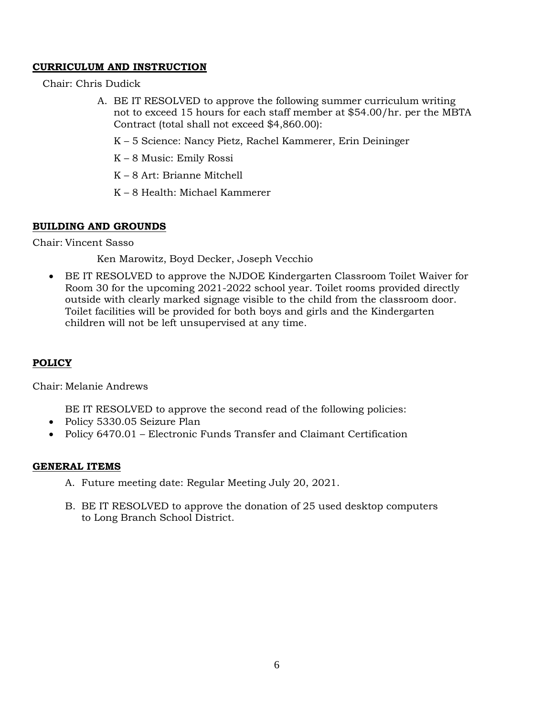# **CURRICULUM AND INSTRUCTION**

Chair: Chris Dudick

- A. BE IT RESOLVED to approve the following summer curriculum writing not to exceed 15 hours for each staff member at \$54.00/hr. per the MBTA Contract (total shall not exceed \$4,860.00):
	- K 5 Science: Nancy Pietz, Rachel Kammerer, Erin Deininger
	- K 8 Music: Emily Rossi
	- K 8 Art: Brianne Mitchell
	- K 8 Health: Michael Kammerer

# **BUILDING AND GROUNDS**

Chair: Vincent Sasso

Ken Marowitz, Boyd Decker, Joseph Vecchio

 BE IT RESOLVED to approve the NJDOE Kindergarten Classroom Toilet Waiver for Room 30 for the upcoming 2021-2022 school year. Toilet rooms provided directly outside with clearly marked signage visible to the child from the classroom door. Toilet facilities will be provided for both boys and girls and the Kindergarten children will not be left unsupervised at any time.

# **POLICY**

Chair: Melanie Andrews

BE IT RESOLVED to approve the second read of the following policies:

- Policy 5330.05 Seizure Plan
- Policy 6470.01 Electronic Funds Transfer and Claimant Certification

# **GENERAL ITEMS**

- A. Future meeting date: Regular Meeting July 20, 2021.
- B. BE IT RESOLVED to approve the donation of 25 used desktop computers to Long Branch School District.